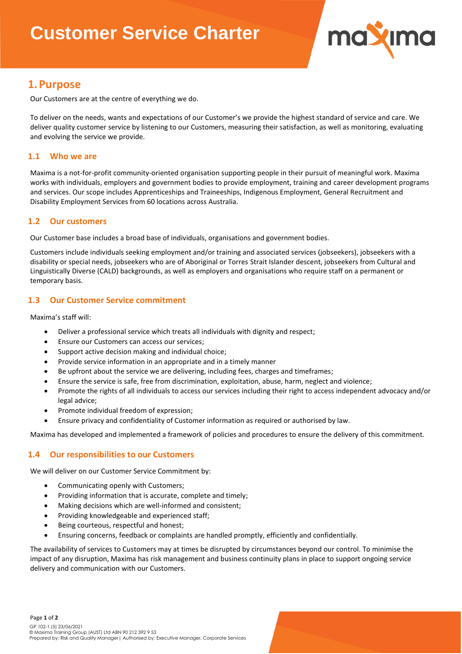# **Customer Service Charter**



### **1.Purpose**

Our Customers are at the centre of everything we do.

To deliver on the needs, wants and expectations of our Customer's we provide the highest standard of service and care. We deliver quality customer service by listening to our Customers, measuring their satisfaction, as well as monitoring, evaluating and evolving the service we provide.

### **1.1 Who we are**

Maxima is a not-for-profit community-oriented organisation supporting people in their pursuit of meaningful work. Maxima works with individuals, employers and government bodies to provide employment, training and career development programs and services. Our scope includes Apprenticeships and Traineeships, Indigenous Employment, General Recruitment and Disability Employment Services from 60 locations across Australia.

### **1.2 Our customers**

Our Customer base includes a broad base of individuals, organisations and government bodies.

Customers include individuals seeking employment and/or training and associated services (jobseekers), jobseekers with a disability or special needs, jobseekers who are of Aboriginal or Torres Strait Islander descent, jobseekers from Cultural and Linguistically Diverse (CALD) backgrounds, as well as employers and organisations who require staff on a permanent or temporary basis.

### **1.3 Our Customer Service commitment**

Maxima's staff will:

- Deliver a professional service which treats all individuals with dignity and respect;
- Ensure our Customers can access our services;
- Support active decision making and individual choice;
- Provide service information in an appropriate and in a timely manner
- Be upfront about the service we are delivering, including fees, charges and timeframes;
- Ensure the service is safe, free from discrimination, exploitation, abuse, harm, neglect and violence;
- Promote the rights of all individuals to access our services including their right to access independent advocacy and/or legal advice;
- Promote individual freedom of expression;
- Ensure privacy and confidentiality of Customer information as required or authorised by law.

Maxima has developed and implemented a framework of policies and procedures to ensure the delivery of this commitment.

#### **1.4 Our responsibilities to our Customers**

We will deliver on our Customer Service Commitment by:

- Communicating openly with Customers;
- Providing information that is accurate, complete and timely;
- Making decisions which are well-informed and consistent;
- Providing knowledgeable and experienced staff;
- Being courteous, respectful and honest;
- Ensuring concerns, feedback or complaints are handled promptly, efficiently and confidentially.

The availability of services to Customers may at times be disrupted by circumstances beyond our control. To minimise the impact of any disruption, Maxima has risk management and business continuity plans in place to support ongoing service delivery and communication with our Customers.